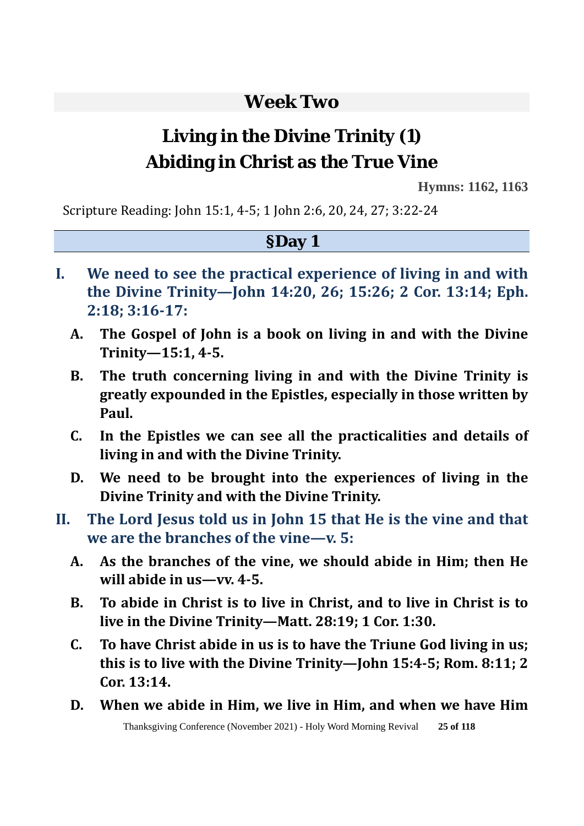# **Week Two**

# **Living in the Divine Trinity (1) Abiding in Christ as the True Vine**

**Hymns: 1162, 1163** 

Scripture Reading: John 15:1, 4-5; 1 John 2:6, 20, 24, 27; 3:22-24

#### **§Day 1**

- **I. We need to see the practical experience of living in and with the Divine Trinity—John 14:20, 26; 15:26; 2 Cor. 13:14; Eph. 2:18; 3:16-17:** 
	- **A. The Gospel of John is a book on living in and with the Divine Trinity—15:1, 4-5.**
	- **B. The truth concerning living in and with the Divine Trinity is greatly expounded in the Epistles, especially in those written by Paul.**
	- **C. In the Epistles we can see all the practicalities and details of living in and with the Divine Trinity.**
	- **D. We need to be brought into the experiences of living in the Divine Trinity and with the Divine Trinity.**
- **II. The Lord Jesus told us in John 15 that He is the vine and that we are the branches of the vine—v. 5:**
	- **A. As the branches of the vine, we should abide in Him; then He will abide in us—vv. 4-5.**
	- **B. To abide in Christ is to live in Christ, and to live in Christ is to live in the Divine Trinity—Matt. 28:19; 1 Cor. 1:30.**
	- **C. To have Christ abide in us is to have the Triune God living in us; this is to live with the Divine Trinity—John 15:4-5; Rom. 8:11; 2 Cor. 13:14.**
	- **D. When we abide in Him, we live in Him, and when we have Him**

Thanksgiving Conference (November 2021) - Holy Word Morning Revival **25 of 118**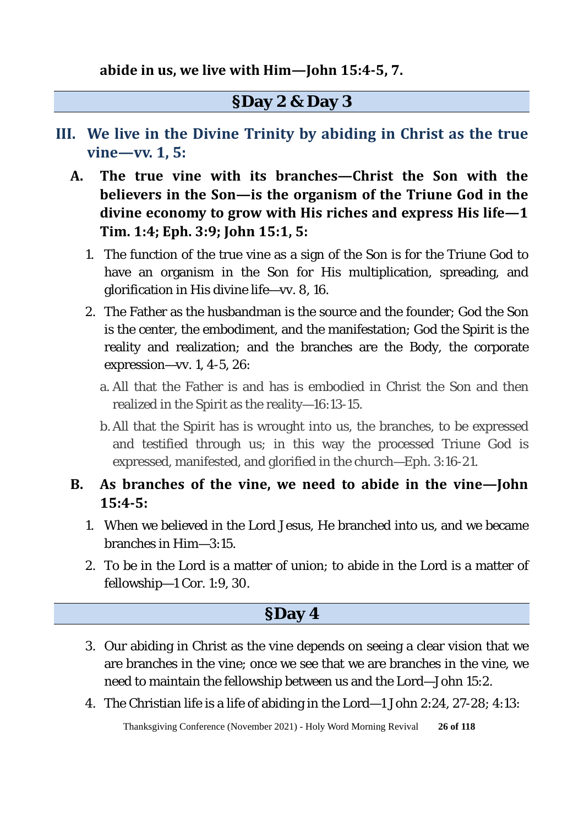#### **§Day 2 & Day 3**

- **III. We live in the Divine Trinity by abiding in Christ as the true vine—vv. 1, 5:**
	- **A. The true vine with its branches—Christ the Son with the believers in the Son—is the organism of the Triune God in the divine economy to grow with His riches and express His life—1 Tim. 1:4; Eph. 3:9; John 15:1, 5:** 
		- 1. The function of the true vine as a sign of the Son is for the Triune God to have an organism in the Son for His multiplication, spreading, and glorification in His divine life—vv. 8, 16.
		- 2. The Father as the husbandman is the source and the founder; God the Son is the center, the embodiment, and the manifestation; God the Spirit is the reality and realization; and the branches are the Body, the corporate expression—vv. 1, 4-5, 26:
			- a. All that the Father is and has is embodied in Christ the Son and then realized in the Spirit as the reality—16:13-15.
			- b. All that the Spirit has is wrought into us, the branches, to be expressed and testified through us; in this way the processed Triune God is expressed, manifested, and glorified in the church—Eph. 3:16-21.

#### **B. As branches of the vine, we need to abide in the vine—John 15:4-5:**

- 1. When we believed in the Lord Jesus, He branched into us, and we became branches in Him—3:15.
- 2. To be in the Lord is a matter of union; to abide in the Lord is a matter of fellowship—1 Cor. 1:9, 30.

#### **§Day 4**

- 3. Our abiding in Christ as the vine depends on seeing a clear vision that we are branches in the vine; once we see that we are branches in the vine, we need to maintain the fellowship between us and the Lord—John 15:2.
- 4. The Christian life is a life of abiding in the Lord—1 John 2:24, 27-28; 4:13:

Thanksgiving Conference (November 2021) - Holy Word Morning Revival **26 of 118**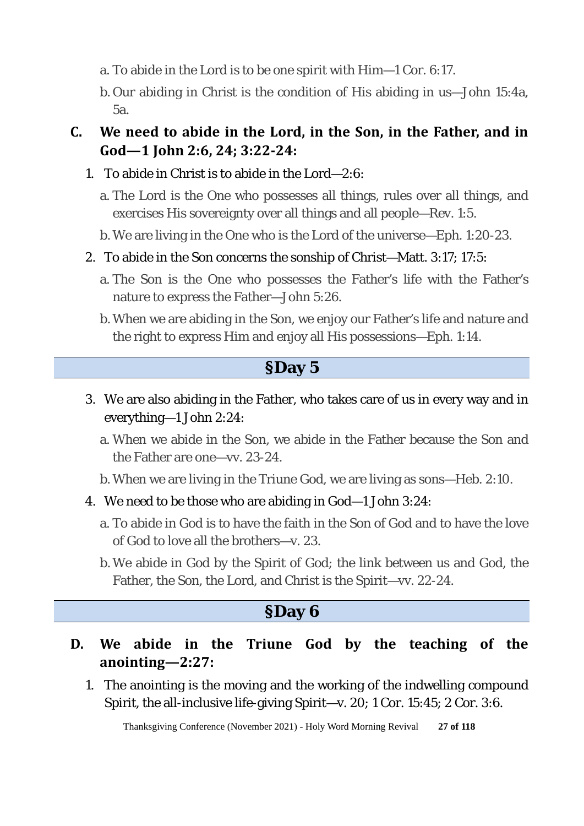- a. To abide in the Lord is to be one spirit with Him—1 Cor. 6:17.
- b. Our abiding in Christ is the condition of His abiding in us—John 15:4a, 5a.

#### **C. We need to abide in the Lord, in the Son, in the Father, and in God—1 John 2:6, 24; 3:22-24:**

- 1. To abide in Christ is to abide in the Lord—2:6:
	- a. The Lord is the One who possesses all things, rules over all things, and exercises His sovereignty over all things and all people—Rev. 1:5.
	- b. We are living in the One who is the Lord of the universe—Eph. 1:20-23.
- 2. To abide in the Son concerns the sonship of Christ—Matt. 3:17; 17:5:
	- a. The Son is the One who possesses the Father's life with the Father's nature to express the Father—John 5:26.
	- b. When we are abiding in the Son, we enjoy our Father's life and nature and the right to express Him and enjoy all His possessions—Eph. 1:14.

#### **§Day 5**

- 3. We are also abiding in the Father, who takes care of us in every way and in everything—1 John 2:24:
	- a. When we abide in the Son, we abide in the Father because the Son and the Father are one—vv. 23-24.
	- b. When we are living in the Triune God, we are living as sons—Heb. 2:10.
- 4. We need to be those who are abiding in God—1 John 3:24:
	- a. To abide in God is to have the faith in the Son of God and to have the love of God to love all the brothers—v. 23.
	- b. We abide in God by the Spirit of God; the link between us and God, the Father, the Son, the Lord, and Christ is the Spirit—vv. 22-24.

### **§Day 6**

- **D. We abide in the Triune God by the teaching of the anointing—2:27:** 
	- 1. The anointing is the moving and the working of the indwelling compound Spirit, the all-inclusive life-giving Spirit—v. 20; 1 Cor. 15:45; 2 Cor. 3:6.

Thanksgiving Conference (November 2021) - Holy Word Morning Revival **27 of 118**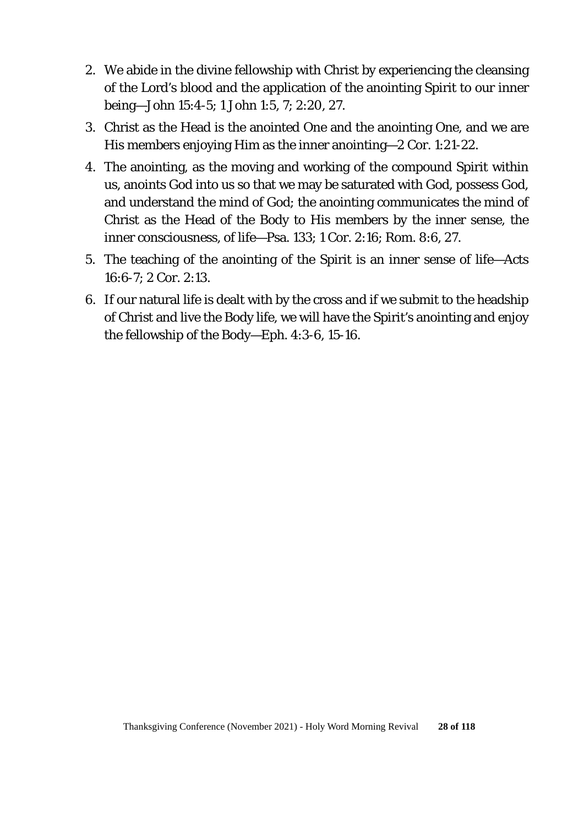- 2. We abide in the divine fellowship with Christ by experiencing the cleansing of the Lord's blood and the application of the anointing Spirit to our inner being—John 15:4-5; 1 John 1:5, 7; 2:20, 27.
- 3. Christ as the Head is the anointed One and the anointing One, and we are His members enjoying Him as the inner anointing—2 Cor. 1:21-22.
- 4. The anointing, as the moving and working of the compound Spirit within us, anoints God into us so that we may be saturated with God, possess God, and understand the mind of God; the anointing communicates the mind of Christ as the Head of the Body to His members by the inner sense, the inner consciousness, of life—Psa. 133; 1 Cor. 2:16; Rom. 8:6, 27.
- 5. The teaching of the anointing of the Spirit is an inner sense of life—Acts 16:6-7; 2 Cor. 2:13.
- 6. If our natural life is dealt with by the cross and if we submit to the headship of Christ and live the Body life, we will have the Spirit's anointing and enjoy the fellowship of the Body—Eph. 4:3-6, 15-16.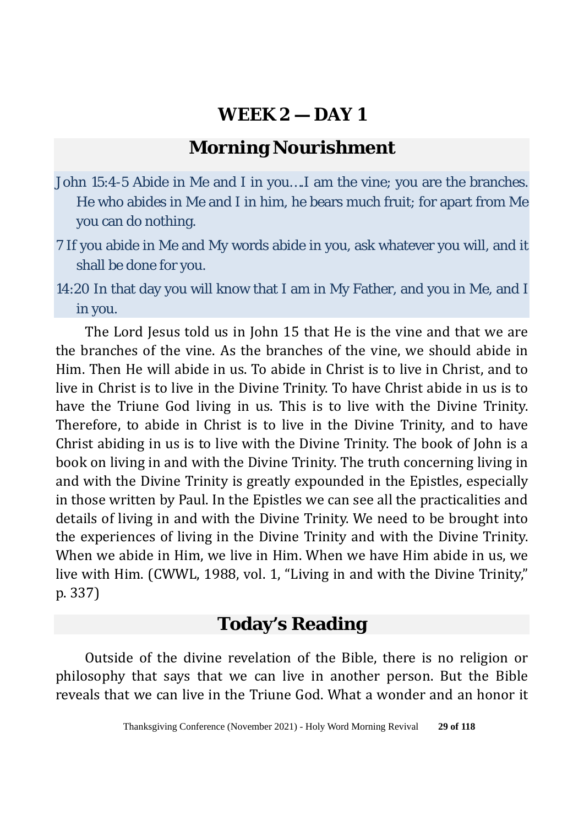### **Morning Nourishment**

- John 15:4-5 Abide in Me and I in you….I am the vine; you are the branches. He who abides in Me and I in him, he bears much fruit; for apart from Me you can do nothing.
- 7 If you abide in Me and My words abide in you, ask whatever you will, and it shall be done for you.
- 14:20 In that day you will know that I am in My Father, and you in Me, and I in you.

The Lord Jesus told us in John 15 that He is the vine and that we are the branches of the vine. As the branches of the vine, we should abide in Him. Then He will abide in us. To abide in Christ is to live in Christ, and to live in Christ is to live in the Divine Trinity. To have Christ abide in us is to have the Triune God living in us. This is to live with the Divine Trinity. Therefore, to abide in Christ is to live in the Divine Trinity, and to have Christ abiding in us is to live with the Divine Trinity. The book of John is a book on living in and with the Divine Trinity. The truth concerning living in and with the Divine Trinity is greatly expounded in the Epistles, especially in those written by Paul. In the Epistles we can see all the practicalities and details of living in and with the Divine Trinity. We need to be brought into the experiences of living in the Divine Trinity and with the Divine Trinity. When we abide in Him, we live in Him. When we have Him abide in us, we live with Him. (CWWL, 1988, vol. 1, "Living in and with the Divine Trinity," p. 337)

### **Today's Reading**

Outside of the divine revelation of the Bible, there is no religion or philosophy that says that we can live in another person. But the Bible reveals that we can live in the Triune God. What a wonder and an honor it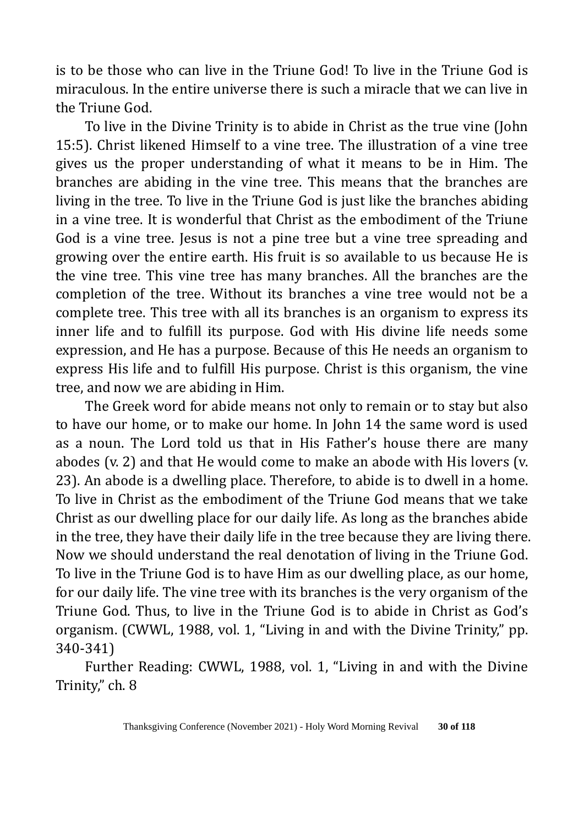is to be those who can live in the Triune God! To live in the Triune God is miraculous. In the entire universe there is such a miracle that we can live in the Triune God.

To live in the Divine Trinity is to abide in Christ as the true vine (John 15:5). Christ likened Himself to a vine tree. The illustration of a vine tree gives us the proper understanding of what it means to be in Him. The branches are abiding in the vine tree. This means that the branches are living in the tree. To live in the Triune God is just like the branches abiding in a vine tree. It is wonderful that Christ as the embodiment of the Triune God is a vine tree. Jesus is not a pine tree but a vine tree spreading and growing over the entire earth. His fruit is so available to us because He is the vine tree. This vine tree has many branches. All the branches are the completion of the tree. Without its branches a vine tree would not be a complete tree. This tree with all its branches is an organism to express its inner life and to fulfill its purpose. God with His divine life needs some expression, and He has a purpose. Because of this He needs an organism to express His life and to fulfill His purpose. Christ is this organism, the vine tree, and now we are abiding in Him.

The Greek word for abide means not only to remain or to stay but also to have our home, or to make our home. In John 14 the same word is used as a noun. The Lord told us that in His Father's house there are many abodes (v. 2) and that He would come to make an abode with His lovers (v. 23). An abode is a dwelling place. Therefore, to abide is to dwell in a home. To live in Christ as the embodiment of the Triune God means that we take Christ as our dwelling place for our daily life. As long as the branches abide in the tree, they have their daily life in the tree because they are living there. Now we should understand the real denotation of living in the Triune God. To live in the Triune God is to have Him as our dwelling place, as our home, for our daily life. The vine tree with its branches is the very organism of the Triune God. Thus, to live in the Triune God is to abide in Christ as God's organism. (CWWL, 1988, vol. 1, "Living in and with the Divine Trinity," pp. 340-341)

Further Reading: CWWL, 1988, vol. 1, "Living in and with the Divine Trinity," ch. 8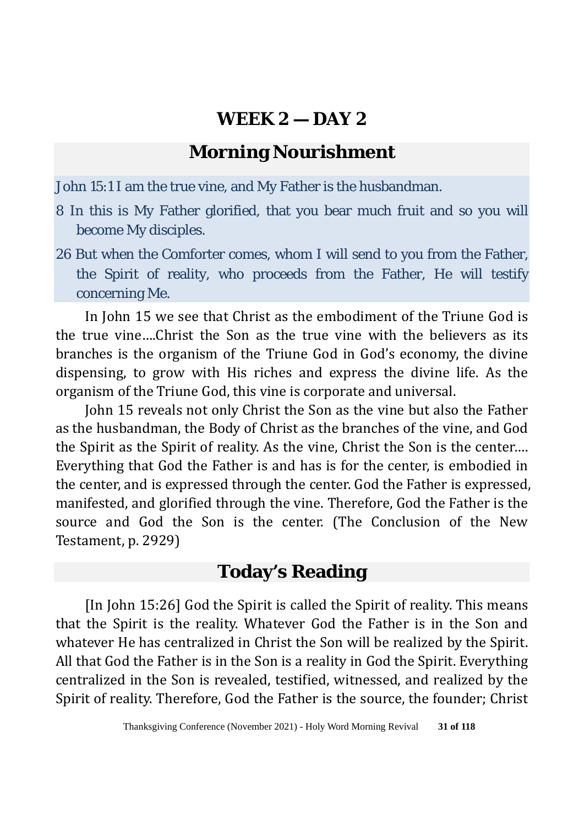# **Morning Nourishment**

John 15:1 I am the true vine, and My Father is the husbandman.

- 8 In this is My Father glorified, that you bear much fruit and so you will become My disciples.
- 26 But when the Comforter comes, whom I will send to you from the Father, the Spirit of reality, who proceeds from the Father, He will testify concerning Me.

In John 15 we see that Christ as the embodiment of the Triune God is the true vine….Christ the Son as the true vine with the believers as its branches is the organism of the Triune God in God's economy, the divine dispensing, to grow with His riches and express the divine life. As the organism of the Triune God, this vine is corporate and universal.

John 15 reveals not only Christ the Son as the vine but also the Father as the husbandman, the Body of Christ as the branches of the vine, and God the Spirit as the Spirit of reality. As the vine, Christ the Son is the center…. Everything that God the Father is and has is for the center, is embodied in the center, and is expressed through the center. God the Father is expressed, manifested, and glorified through the vine. Therefore, God the Father is the source and God the Son is the center. (The Conclusion of the New Testament, p. 2929)

### **Today's Reading**

[In John 15:26] God the Spirit is called the Spirit of reality. This means that the Spirit is the reality. Whatever God the Father is in the Son and whatever He has centralized in Christ the Son will be realized by the Spirit. All that God the Father is in the Son is a reality in God the Spirit. Everything centralized in the Son is revealed, testified, witnessed, and realized by the Spirit of reality. Therefore, God the Father is the source, the founder; Christ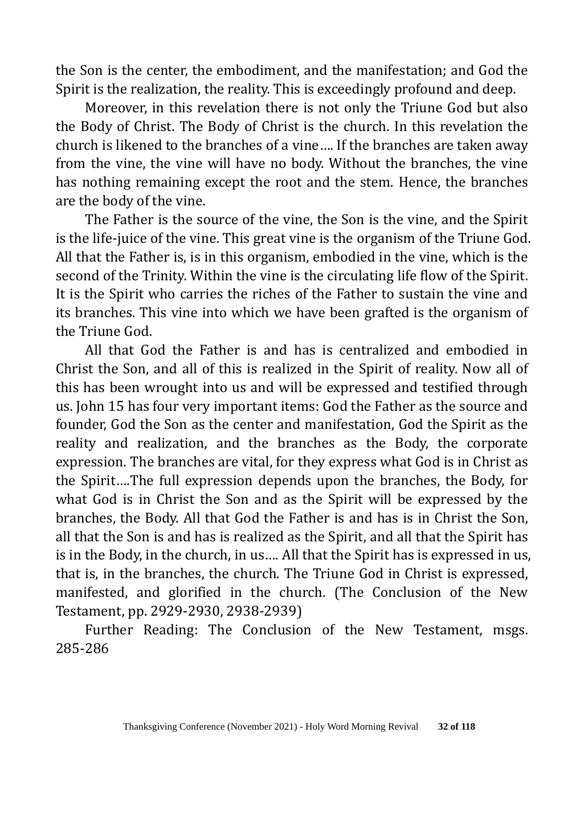the Son is the center, the embodiment, and the manifestation; and God the Spirit is the realization, the reality. This is exceedingly profound and deep.

Moreover, in this revelation there is not only the Triune God but also the Body of Christ. The Body of Christ is the church. In this revelation the church is likened to the branches of a vine…. If the branches are taken away from the vine, the vine will have no body. Without the branches, the vine has nothing remaining except the root and the stem. Hence, the branches are the body of the vine.

The Father is the source of the vine, the Son is the vine, and the Spirit is the life-juice of the vine. This great vine is the organism of the Triune God. All that the Father is, is in this organism, embodied in the vine, which is the second of the Trinity. Within the vine is the circulating life flow of the Spirit. It is the Spirit who carries the riches of the Father to sustain the vine and its branches. This vine into which we have been grafted is the organism of the Triune God.

All that God the Father is and has is centralized and embodied in Christ the Son, and all of this is realized in the Spirit of reality. Now all of this has been wrought into us and will be expressed and testified through us. John 15 has four very important items: God the Father as the source and founder, God the Son as the center and manifestation, God the Spirit as the reality and realization, and the branches as the Body, the corporate expression. The branches are vital, for they express what God is in Christ as the Spirit….The full expression depends upon the branches, the Body, for what God is in Christ the Son and as the Spirit will be expressed by the branches, the Body. All that God the Father is and has is in Christ the Son, all that the Son is and has is realized as the Spirit, and all that the Spirit has is in the Body, in the church, in us…. All that the Spirit has is expressed in us, that is, in the branches, the church. The Triune God in Christ is expressed, manifested, and glorified in the church. (The Conclusion of the New Testament, pp. 2929-2930, 2938-2939)

Further Reading: The Conclusion of the New Testament, msgs. 285-286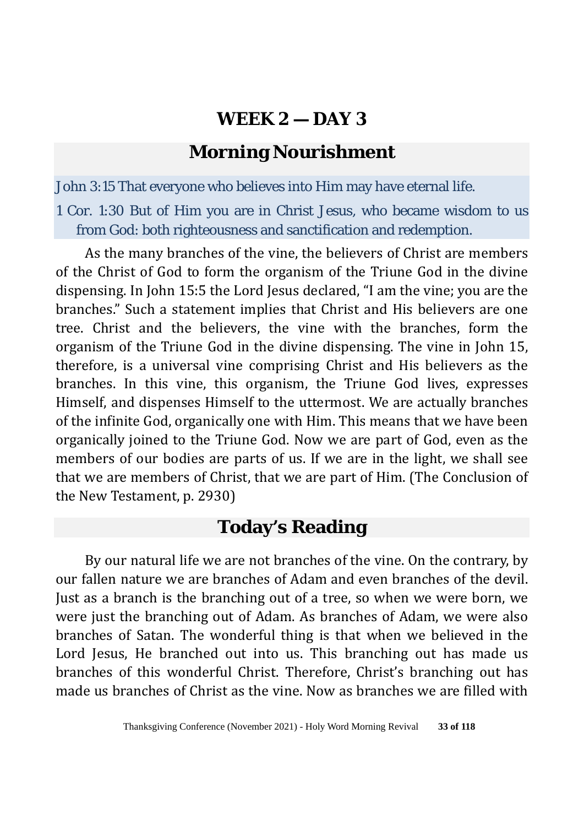# **Morning Nourishment**

John 3:15 That everyone who believes into Him may have eternal life.

1 Cor. 1:30 But of Him you are in Christ Jesus, who became wisdom to us from God: both righteousness and sanctification and redemption.

As the many branches of the vine, the believers of Christ are members of the Christ of God to form the organism of the Triune God in the divine dispensing. In John 15:5 the Lord Jesus declared, "I am the vine; you are the branches." Such a statement implies that Christ and His believers are one tree. Christ and the believers, the vine with the branches, form the organism of the Triune God in the divine dispensing. The vine in John 15, therefore, is a universal vine comprising Christ and His believers as the branches. In this vine, this organism, the Triune God lives, expresses Himself, and dispenses Himself to the uttermost. We are actually branches of the infinite God, organically one with Him. This means that we have been organically joined to the Triune God. Now we are part of God, even as the members of our bodies are parts of us. If we are in the light, we shall see that we are members of Christ, that we are part of Him. (The Conclusion of the New Testament, p. 2930)

# **Today's Reading**

By our natural life we are not branches of the vine. On the contrary, by our fallen nature we are branches of Adam and even branches of the devil. Just as a branch is the branching out of a tree, so when we were born, we were just the branching out of Adam. As branches of Adam, we were also branches of Satan. The wonderful thing is that when we believed in the Lord Jesus, He branched out into us. This branching out has made us branches of this wonderful Christ. Therefore, Christ's branching out has made us branches of Christ as the vine. Now as branches we are filled with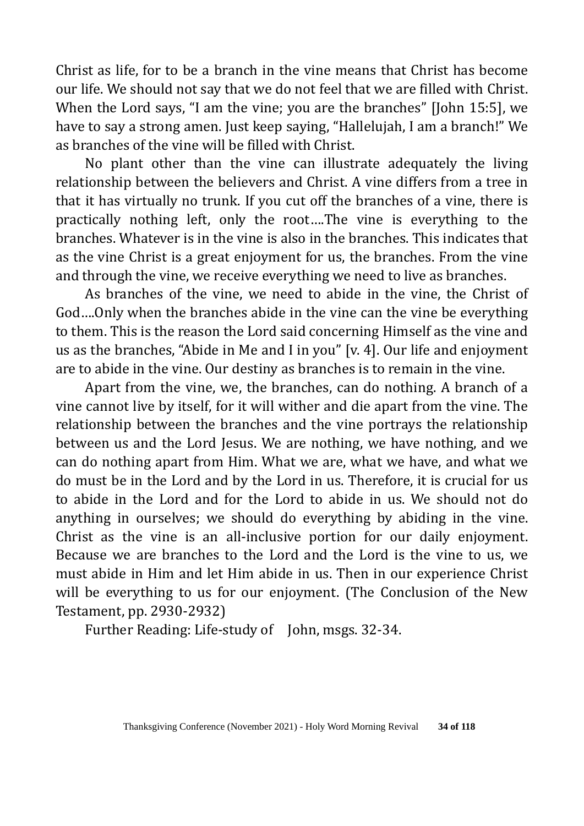Christ as life, for to be a branch in the vine means that Christ has become our life. We should not say that we do not feel that we are filled with Christ. When the Lord says, "I am the vine; you are the branches" [John 15:5], we have to say a strong amen. Just keep saying, "Hallelujah, I am a branch!" We as branches of the vine will be filled with Christ.

No plant other than the vine can illustrate adequately the living relationship between the believers and Christ. A vine differs from a tree in that it has virtually no trunk. If you cut off the branches of a vine, there is practically nothing left, only the root….The vine is everything to the branches. Whatever is in the vine is also in the branches. This indicates that as the vine Christ is a great enjoyment for us, the branches. From the vine and through the vine, we receive everything we need to live as branches.

As branches of the vine, we need to abide in the vine, the Christ of God….Only when the branches abide in the vine can the vine be everything to them. This is the reason the Lord said concerning Himself as the vine and us as the branches, "Abide in Me and I in you" [v. 4]. Our life and enjoyment are to abide in the vine. Our destiny as branches is to remain in the vine.

Apart from the vine, we, the branches, can do nothing. A branch of a vine cannot live by itself, for it will wither and die apart from the vine. The relationship between the branches and the vine portrays the relationship between us and the Lord Jesus. We are nothing, we have nothing, and we can do nothing apart from Him. What we are, what we have, and what we do must be in the Lord and by the Lord in us. Therefore, it is crucial for us to abide in the Lord and for the Lord to abide in us. We should not do anything in ourselves; we should do everything by abiding in the vine. Christ as the vine is an all-inclusive portion for our daily enjoyment. Because we are branches to the Lord and the Lord is the vine to us, we must abide in Him and let Him abide in us. Then in our experience Christ will be everything to us for our enjoyment. (The Conclusion of the New Testament, pp. 2930-2932)

Further Reading: Life-study of John, msgs. 32-34.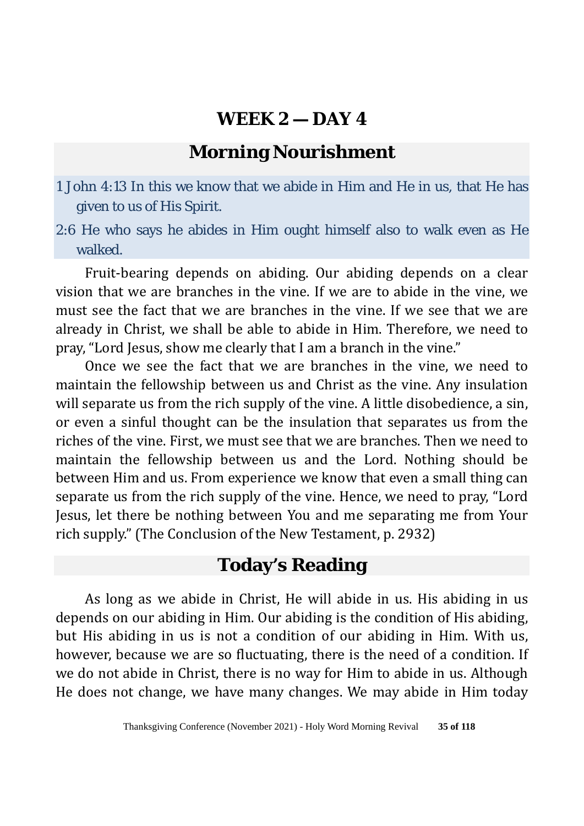# **Morning Nourishment**

1 John 4:13 In this we know that we abide in Him and He in us, that He has given to us of His Spirit.

2:6 He who says he abides in Him ought himself also to walk even as He walked.

Fruit-bearing depends on abiding. Our abiding depends on a clear vision that we are branches in the vine. If we are to abide in the vine, we must see the fact that we are branches in the vine. If we see that we are already in Christ, we shall be able to abide in Him. Therefore, we need to pray, "Lord Jesus, show me clearly that I am a branch in the vine."

Once we see the fact that we are branches in the vine, we need to maintain the fellowship between us and Christ as the vine. Any insulation will separate us from the rich supply of the vine. A little disobedience, a sin, or even a sinful thought can be the insulation that separates us from the riches of the vine. First, we must see that we are branches. Then we need to maintain the fellowship between us and the Lord. Nothing should be between Him and us. From experience we know that even a small thing can separate us from the rich supply of the vine. Hence, we need to pray, "Lord Jesus, let there be nothing between You and me separating me from Your rich supply." (The Conclusion of the New Testament, p. 2932)

### **Today's Reading**

As long as we abide in Christ, He will abide in us. His abiding in us depends on our abiding in Him. Our abiding is the condition of His abiding, but His abiding in us is not a condition of our abiding in Him. With us, however, because we are so fluctuating, there is the need of a condition. If we do not abide in Christ, there is no way for Him to abide in us. Although He does not change, we have many changes. We may abide in Him today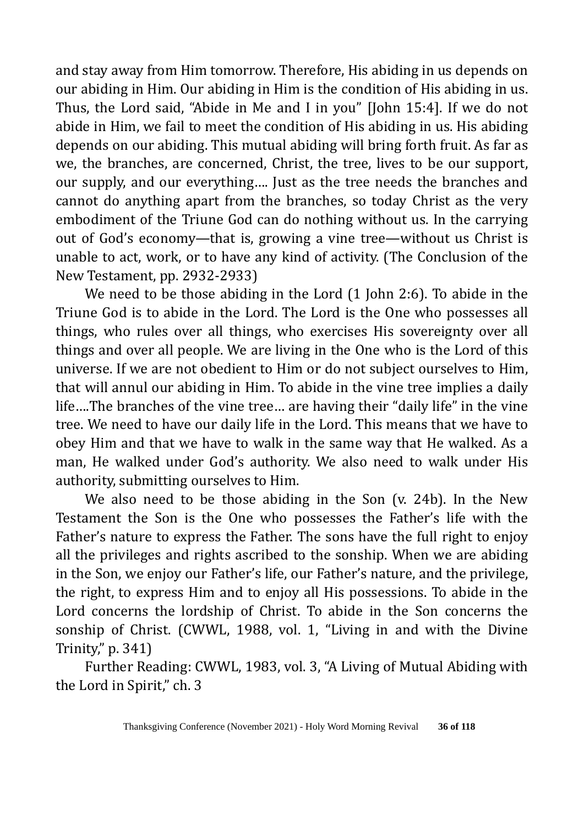and stay away from Him tomorrow. Therefore, His abiding in us depends on our abiding in Him. Our abiding in Him is the condition of His abiding in us. Thus, the Lord said, "Abide in Me and I in you" [John 15:4]. If we do not abide in Him, we fail to meet the condition of His abiding in us. His abiding depends on our abiding. This mutual abiding will bring forth fruit. As far as we, the branches, are concerned, Christ, the tree, lives to be our support, our supply, and our everything…. Just as the tree needs the branches and cannot do anything apart from the branches, so today Christ as the very embodiment of the Triune God can do nothing without us. In the carrying out of God's economy—that is, growing a vine tree—without us Christ is unable to act, work, or to have any kind of activity. (The Conclusion of the New Testament, pp. 2932-2933)

We need to be those abiding in the Lord (1 John 2:6). To abide in the Triune God is to abide in the Lord. The Lord is the One who possesses all things, who rules over all things, who exercises His sovereignty over all things and over all people. We are living in the One who is the Lord of this universe. If we are not obedient to Him or do not subject ourselves to Him, that will annul our abiding in Him. To abide in the vine tree implies a daily life….The branches of the vine tree… are having their "daily life" in the vine tree. We need to have our daily life in the Lord. This means that we have to obey Him and that we have to walk in the same way that He walked. As a man, He walked under God's authority. We also need to walk under His authority, submitting ourselves to Him.

We also need to be those abiding in the Son (v. 24b). In the New Testament the Son is the One who possesses the Father's life with the Father's nature to express the Father. The sons have the full right to enjoy all the privileges and rights ascribed to the sonship. When we are abiding in the Son, we enjoy our Father's life, our Father's nature, and the privilege, the right, to express Him and to enjoy all His possessions. To abide in the Lord concerns the lordship of Christ. To abide in the Son concerns the sonship of Christ. (CWWL, 1988, vol. 1, "Living in and with the Divine Trinity," p. 341)

Further Reading: CWWL, 1983, vol. 3, "A Living of Mutual Abiding with the Lord in Spirit," ch. 3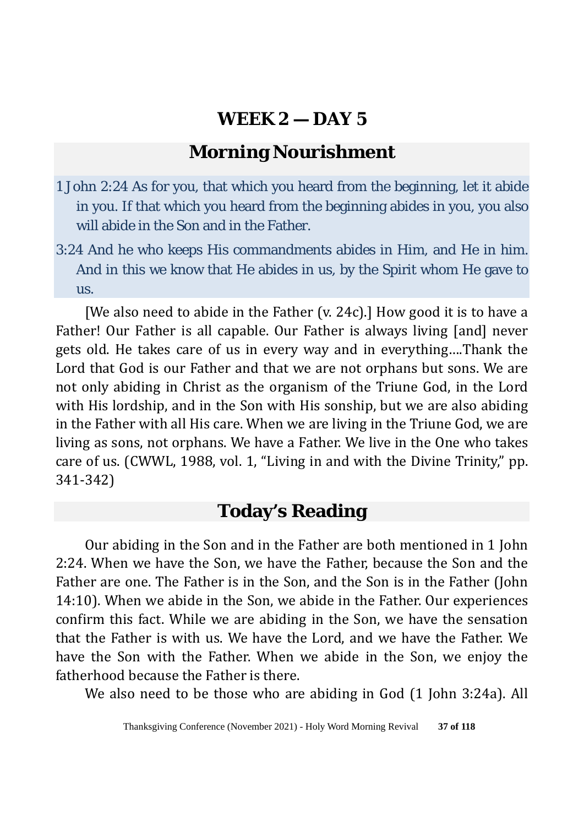### **Morning Nourishment**

- 1 John 2:24 As for you, that which you heard from the beginning, let it abide in you. If that which you heard from the beginning abides in you, you also will abide in the Son and in the Father.
- 3:24 And he who keeps His commandments abides in Him, and He in him. And in this we know that He abides in us, by the Spirit whom He gave to us.

[We also need to abide in the Father (v. 24c).] How good it is to have a Father! Our Father is all capable. Our Father is always living [and] never gets old. He takes care of us in every way and in everything….Thank the Lord that God is our Father and that we are not orphans but sons. We are not only abiding in Christ as the organism of the Triune God, in the Lord with His lordship, and in the Son with His sonship, but we are also abiding in the Father with all His care. When we are living in the Triune God, we are living as sons, not orphans. We have a Father. We live in the One who takes care of us. (CWWL, 1988, vol. 1, "Living in and with the Divine Trinity," pp. 341-342)

# **Today's Reading**

Our abiding in the Son and in the Father are both mentioned in 1 John 2:24. When we have the Son, we have the Father, because the Son and the Father are one. The Father is in the Son, and the Son is in the Father (John 14:10). When we abide in the Son, we abide in the Father. Our experiences confirm this fact. While we are abiding in the Son, we have the sensation that the Father is with us. We have the Lord, and we have the Father. We have the Son with the Father. When we abide in the Son, we enjoy the fatherhood because the Father is there.

We also need to be those who are abiding in God (1 John 3:24a). All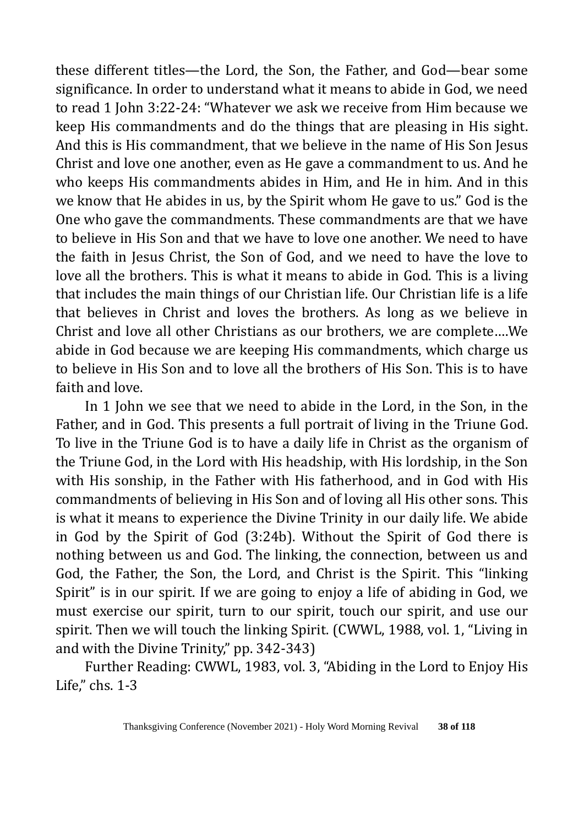these different titles—the Lord, the Son, the Father, and God—bear some significance. In order to understand what it means to abide in God, we need to read 1 John 3:22-24: "Whatever we ask we receive from Him because we keep His commandments and do the things that are pleasing in His sight. And this is His commandment, that we believe in the name of His Son Jesus Christ and love one another, even as He gave a commandment to us. And he who keeps His commandments abides in Him, and He in him. And in this we know that He abides in us, by the Spirit whom He gave to us." God is the One who gave the commandments. These commandments are that we have to believe in His Son and that we have to love one another. We need to have the faith in Jesus Christ, the Son of God, and we need to have the love to love all the brothers. This is what it means to abide in God. This is a living that includes the main things of our Christian life. Our Christian life is a life that believes in Christ and loves the brothers. As long as we believe in Christ and love all other Christians as our brothers, we are complete….We abide in God because we are keeping His commandments, which charge us to believe in His Son and to love all the brothers of His Son. This is to have faith and love.

In 1 John we see that we need to abide in the Lord, in the Son, in the Father, and in God. This presents a full portrait of living in the Triune God. To live in the Triune God is to have a daily life in Christ as the organism of the Triune God, in the Lord with His headship, with His lordship, in the Son with His sonship, in the Father with His fatherhood, and in God with His commandments of believing in His Son and of loving all His other sons. This is what it means to experience the Divine Trinity in our daily life. We abide in God by the Spirit of God (3:24b). Without the Spirit of God there is nothing between us and God. The linking, the connection, between us and God, the Father, the Son, the Lord, and Christ is the Spirit. This "linking Spirit" is in our spirit. If we are going to enjoy a life of abiding in God, we must exercise our spirit, turn to our spirit, touch our spirit, and use our spirit. Then we will touch the linking Spirit. (CWWL, 1988, vol. 1, "Living in and with the Divine Trinity," pp. 342-343)

Further Reading: CWWL, 1983, vol. 3, "Abiding in the Lord to Enjoy His Life," chs. 1-3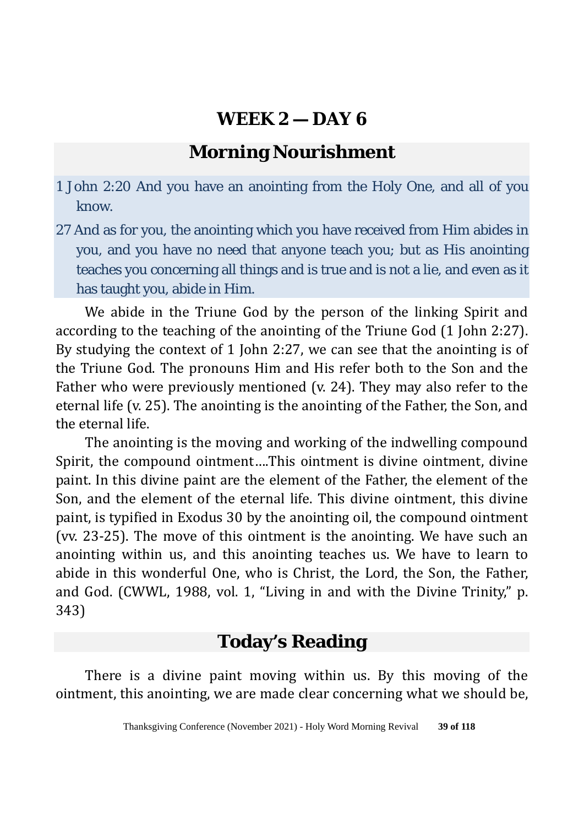# **Morning Nourishment**

- 1 John 2:20 And you have an anointing from the Holy One, and all of you know.
- 27 And as for you, the anointing which you have received from Him abides in you, and you have no need that anyone teach you; but as His anointing teaches you concerning all things and is true and is not a lie, and even as it has taught you, abide in Him.

We abide in the Triune God by the person of the linking Spirit and according to the teaching of the anointing of the Triune God (1 John 2:27). By studying the context of 1 John 2:27, we can see that the anointing is of the Triune God. The pronouns Him and His refer both to the Son and the Father who were previously mentioned (v. 24). They may also refer to the eternal life (v. 25). The anointing is the anointing of the Father, the Son, and the eternal life.

The anointing is the moving and working of the indwelling compound Spirit, the compound ointment….This ointment is divine ointment, divine paint. In this divine paint are the element of the Father, the element of the Son, and the element of the eternal life. This divine ointment, this divine paint, is typified in Exodus 30 by the anointing oil, the compound ointment (vv. 23-25). The move of this ointment is the anointing. We have such an anointing within us, and this anointing teaches us. We have to learn to abide in this wonderful One, who is Christ, the Lord, the Son, the Father, and God. (CWWL, 1988, vol. 1, "Living in and with the Divine Trinity," p. 343)

# **Today's Reading**

There is a divine paint moving within us. By this moving of the ointment, this anointing, we are made clear concerning what we should be,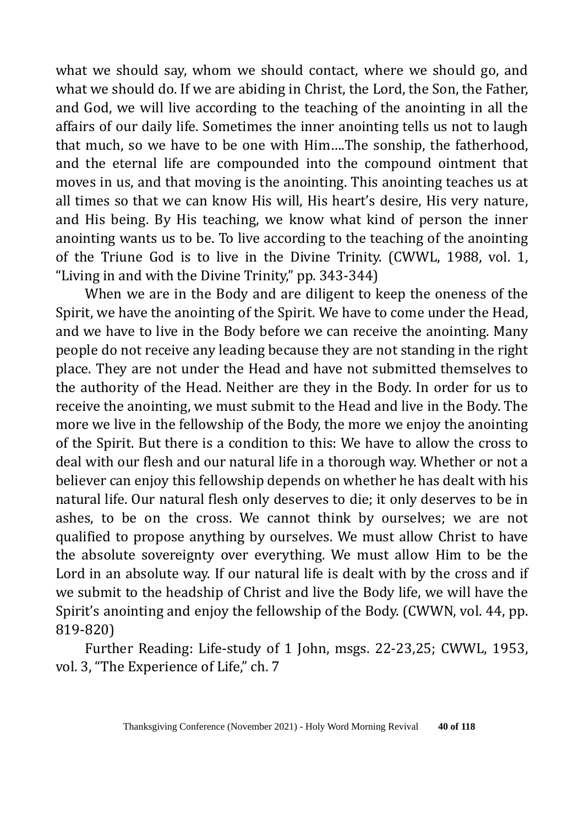what we should say, whom we should contact, where we should go, and what we should do. If we are abiding in Christ, the Lord, the Son, the Father, and God, we will live according to the teaching of the anointing in all the affairs of our daily life. Sometimes the inner anointing tells us not to laugh that much, so we have to be one with Him….The sonship, the fatherhood, and the eternal life are compounded into the compound ointment that moves in us, and that moving is the anointing. This anointing teaches us at all times so that we can know His will, His heart's desire, His very nature, and His being. By His teaching, we know what kind of person the inner anointing wants us to be. To live according to the teaching of the anointing of the Triune God is to live in the Divine Trinity. (CWWL, 1988, vol. 1, "Living in and with the Divine Trinity," pp. 343-344)

When we are in the Body and are diligent to keep the oneness of the Spirit, we have the anointing of the Spirit. We have to come under the Head, and we have to live in the Body before we can receive the anointing. Many people do not receive any leading because they are not standing in the right place. They are not under the Head and have not submitted themselves to the authority of the Head. Neither are they in the Body. In order for us to receive the anointing, we must submit to the Head and live in the Body. The more we live in the fellowship of the Body, the more we enjoy the anointing of the Spirit. But there is a condition to this: We have to allow the cross to deal with our flesh and our natural life in a thorough way. Whether or not a believer can enjoy this fellowship depends on whether he has dealt with his natural life. Our natural flesh only deserves to die; it only deserves to be in ashes, to be on the cross. We cannot think by ourselves; we are not qualified to propose anything by ourselves. We must allow Christ to have the absolute sovereignty over everything. We must allow Him to be the Lord in an absolute way. If our natural life is dealt with by the cross and if we submit to the headship of Christ and live the Body life, we will have the Spirit's anointing and enjoy the fellowship of the Body. (CWWN, vol. 44, pp. 819-820)

Further Reading: Life-study of 1 John, msgs. 22-23,25; CWWL, 1953, vol. 3, "The Experience of Life," ch. 7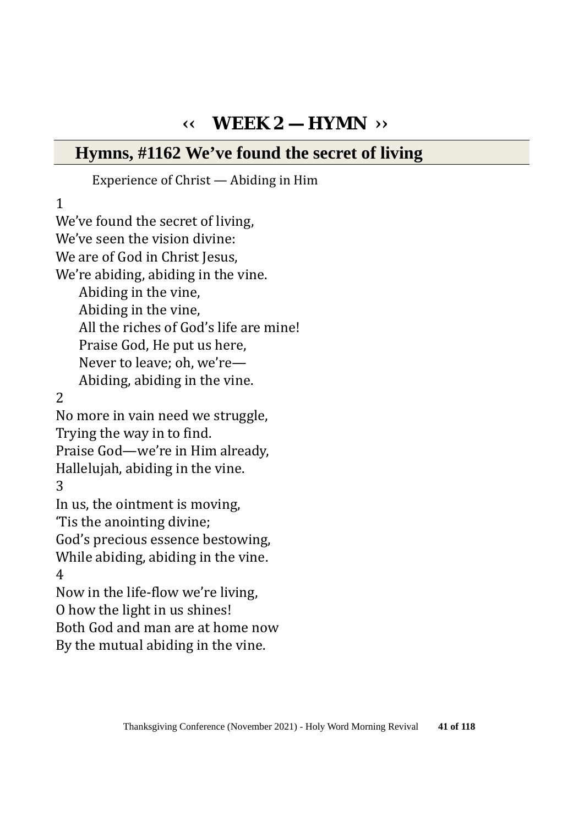# **‹‹ WEEK 2 — HYMN ››**

### **Hymns, #1162 We've found the secret of living**

#### Experience of Christ — Abiding in Him

1

We've found the secret of living, We've seen the vision divine: We are of God in Christ Jesus, We're abiding, abiding in the vine. Abiding in the vine, Abiding in the vine, All the riches of God's life are mine! Praise God, He put us here, Never to leave; oh, we're— Abiding, abiding in the vine. 2 No more in vain need we struggle, Trying the way in to find. Praise God—we're in Him already, Hallelujah, abiding in the vine. 3 In us, the ointment is moving, 'Tis the anointing divine; God's precious essence bestowing, While abiding, abiding in the vine. 4 Now in the life-flow we're living, O how the light in us shines! Both God and man are at home now By the mutual abiding in the vine.